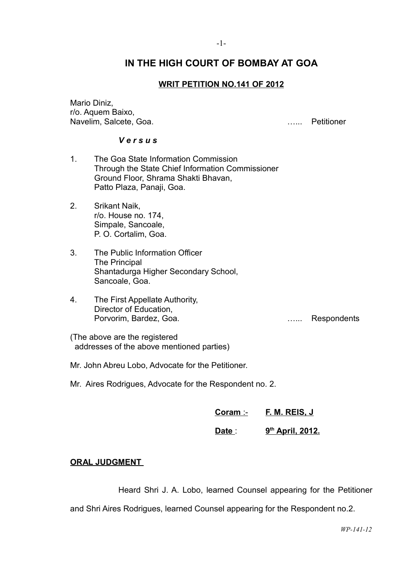# **IN THE HIGH COURT OF BOMBAY AT GOA**

# **WRIT PETITION NO.141 OF 2012**

Mario Diniz, r/o. Aquem Baixo, Navelim, Salcete, Goa. …... Petitioner

### *V e r s u s*

- 1. The Goa State Information Commission Through the State Chief Information Commissioner Ground Floor, Shrama Shakti Bhavan, Patto Plaza, Panaji, Goa.
- 2. Srikant Naik, r/o. House no. 174, Simpale, Sancoale, P. O. Cortalim, Goa.
- 3. The Public Information Officer The Principal Shantadurga Higher Secondary School, Sancoale, Goa.
- 4. The First Appellate Authority, Director of Education, Porvorim, Bardez, Goa. **Exercise Serverse Engineering** Contract and Testing Respondents

(The above are the registered addresses of the above mentioned parties)

- Mr. John Abreu Lobo, Advocate for the Petitioner.
- Mr. Aires Rodrigues, Advocate for the Respondent no. 2.

| Coram - | F. M. REIS, J |
|---------|---------------|
|         |               |

#### **Date** : **th April, 2012.**

## **ORAL JUDGMENT**

Heard Shri J. A. Lobo, learned Counsel appearing for the Petitioner

and Shri Aires Rodrigues, learned Counsel appearing for the Respondent no.2.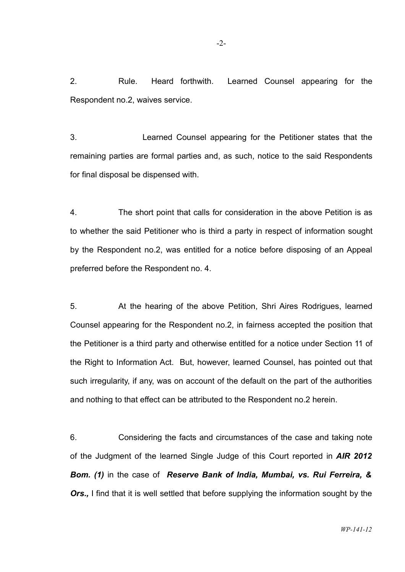2. Rule. Heard forthwith. Learned Counsel appearing for the Respondent no.2, waives service.

3. Learned Counsel appearing for the Petitioner states that the remaining parties are formal parties and, as such, notice to the said Respondents for final disposal be dispensed with.

4. The short point that calls for consideration in the above Petition is as to whether the said Petitioner who is third a party in respect of information sought by the Respondent no.2, was entitled for a notice before disposing of an Appeal preferred before the Respondent no. 4.

5. At the hearing of the above Petition, Shri Aires Rodrigues, learned Counsel appearing for the Respondent no.2, in fairness accepted the position that the Petitioner is a third party and otherwise entitled for a notice under Section 11 of the Right to Information Act. But, however, learned Counsel, has pointed out that such irregularity, if any, was on account of the default on the part of the authorities and nothing to that effect can be attributed to the Respondent no.2 herein.

6. Considering the facts and circumstances of the case and taking note of the Judgment of the learned Single Judge of this Court reported in *AIR 2012 Bom. (1)* in the case of *Reserve Bank of India, Mumbai, vs. Rui Ferreira, &* **Ors.,** I find that it is well settled that before supplying the information sought by the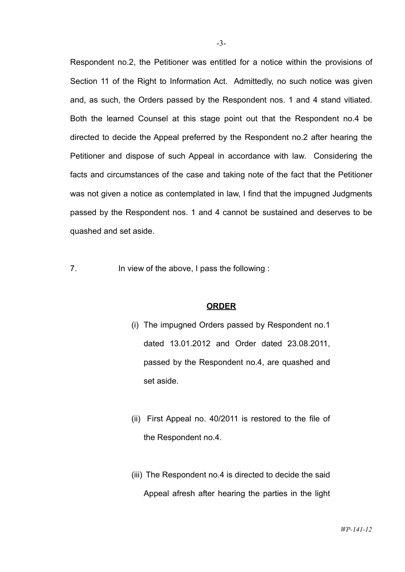Respondent no.2, the Petitioner was entitled for a notice within the provisions of Section 11 of the Right to Information Act. Admittedly, no such notice was given and, as such, the Orders passed by the Respondent nos. 1 and 4 stand vitiated. Both the learned Counsel at this stage point out that the Respondent no.4 be directed to decide the Appeal preferred by the Respondent no.2 after hearing the Petitioner and dispose of such Appeal in accordance with law. Considering the facts and circumstances of the case and taking note of the fact that the Petitioner was not given a notice as contemplated in law, I find that the impugned Judgments passed by the Respondent nos. 1 and 4 cannot be sustained and deserves to be quashed and set aside.

7. In view of the above, I pass the following :

### **ORDER**

- (i) The impugned Orders passed by Respondent no.1 dated 13.01.2012 and Order dated 23.08.2011, passed by the Respondent no.4, are quashed and set aside.
- (ii) First Appeal no. 40/2011 is restored to the file of the Respondent no.4.
- (iii) The Respondent no.4 is directed to decide the said Appeal afresh after hearing the parties in the light